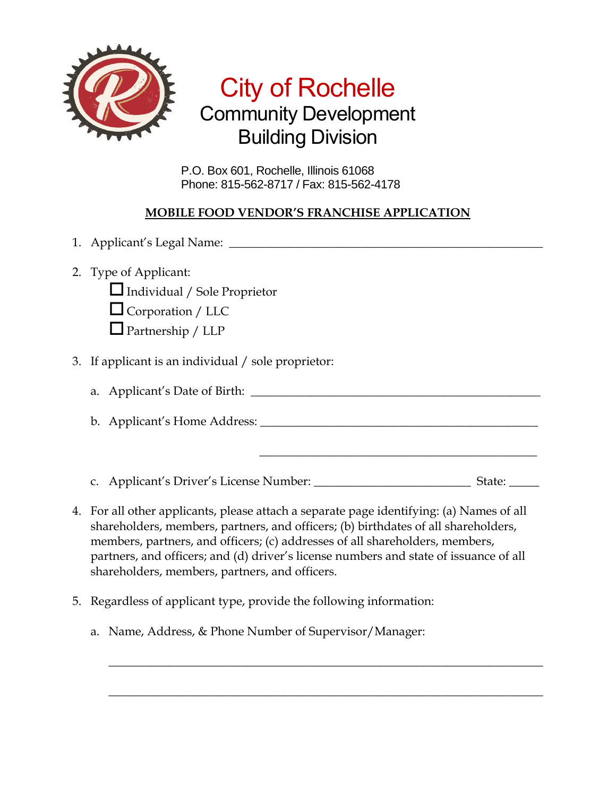

## City of Rochelle Community Development Building Division

P.O. Box 601, Rochelle, Illinois 61068 Phone: 815-562-8717 / Fax: 815-562-4178

## **MOBILE FOOD VENDOR'S FRANCHISE APPLICATION**

1. Applicant's Legal Name: \_\_\_\_\_\_\_\_\_\_\_\_\_\_\_\_\_\_\_\_\_\_\_\_\_\_\_\_\_\_\_\_\_\_\_\_\_\_\_\_\_\_\_\_\_\_\_\_\_\_\_\_ 2. Type of Applicant:  $\Box$  Individual / Sole Proprietor  $\Box$  Corporation / LLC  $\Box$  Partnership / LLP 3. If applicant is an individual / sole proprietor: a. Applicant's Date of Birth: \_\_\_\_\_\_\_\_\_\_\_\_\_\_\_\_\_\_\_\_\_\_\_\_\_\_\_\_\_\_\_\_\_\_\_\_\_\_\_\_\_\_\_\_\_\_\_\_ b. Applicant's Home Address: \_\_\_\_\_\_\_\_\_\_\_\_\_\_\_\_\_\_\_\_\_\_\_\_\_\_\_\_\_\_\_\_\_\_\_\_\_\_\_\_\_\_\_\_\_\_  $\overline{\phantom{a}}$  , where the contract of the contract of the contract of the contract of the contract of the contract of the contract of the contract of the contract of the contract of the contract of the contract of the contr c. Applicant's Driver's License Number: \_\_\_\_\_\_\_\_\_\_\_\_\_\_\_\_\_\_\_\_\_\_\_\_\_\_ State: \_\_\_\_\_ 4. For all other applicants, please attach a separate page identifying: (a) Names of all shareholders, members, partners, and officers; (b) birthdates of all shareholders, members, partners, and officers; (c) addresses of all shareholders, members, partners, and officers; and (d) driver's license numbers and state of issuance of all

 $\_$  , and the set of the set of the set of the set of the set of the set of the set of the set of the set of the set of the set of the set of the set of the set of the set of the set of the set of the set of the set of th

 $\_$  , and the set of the set of the set of the set of the set of the set of the set of the set of the set of the set of the set of the set of the set of the set of the set of the set of the set of the set of the set of th

shareholders, members, partners, and officers.

- 5. Regardless of applicant type, provide the following information:
	- a. Name, Address, & Phone Number of Supervisor/Manager: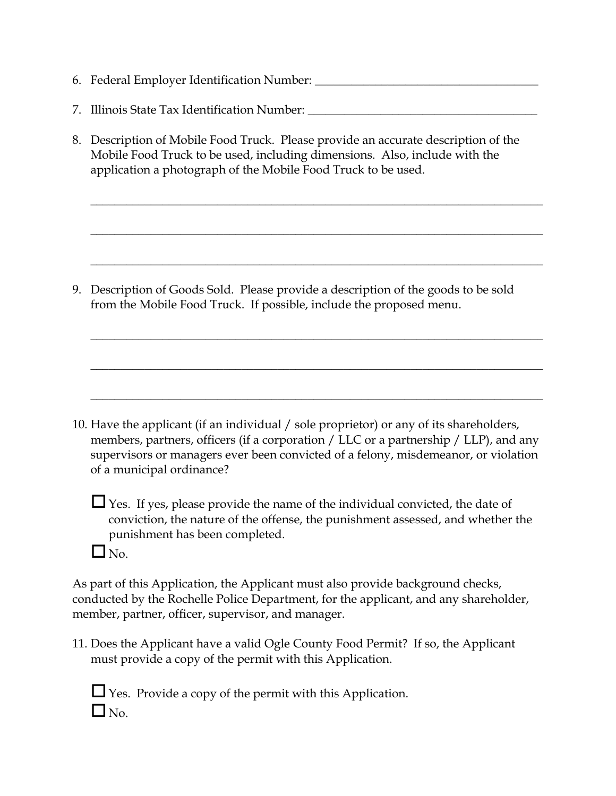- 6. Federal Employer Identification Number: \_\_\_\_\_\_\_\_\_\_\_\_\_\_\_\_\_\_\_\_\_\_\_\_\_\_\_\_\_\_\_\_\_\_\_\_\_
- 7. Illinois State Tax Identification Number: \_\_\_\_\_\_\_\_\_\_\_\_\_\_\_\_\_\_\_\_\_\_\_\_\_\_\_\_\_\_\_\_\_\_\_
- 8. Description of Mobile Food Truck. Please provide an accurate description of the Mobile Food Truck to be used, including dimensions. Also, include with the application a photograph of the Mobile Food Truck to be used.

\_\_\_\_\_\_\_\_\_\_\_\_\_\_\_\_\_\_\_\_\_\_\_\_\_\_\_\_\_\_\_\_\_\_\_\_\_\_\_\_\_\_\_\_\_\_\_\_\_\_\_\_\_\_\_\_\_\_\_\_\_\_\_\_\_\_\_\_\_\_\_\_\_\_\_

\_\_\_\_\_\_\_\_\_\_\_\_\_\_\_\_\_\_\_\_\_\_\_\_\_\_\_\_\_\_\_\_\_\_\_\_\_\_\_\_\_\_\_\_\_\_\_\_\_\_\_\_\_\_\_\_\_\_\_\_\_\_\_\_\_\_\_\_\_\_\_\_\_\_\_

\_\_\_\_\_\_\_\_\_\_\_\_\_\_\_\_\_\_\_\_\_\_\_\_\_\_\_\_\_\_\_\_\_\_\_\_\_\_\_\_\_\_\_\_\_\_\_\_\_\_\_\_\_\_\_\_\_\_\_\_\_\_\_\_\_\_\_\_\_\_\_\_\_\_\_

\_\_\_\_\_\_\_\_\_\_\_\_\_\_\_\_\_\_\_\_\_\_\_\_\_\_\_\_\_\_\_\_\_\_\_\_\_\_\_\_\_\_\_\_\_\_\_\_\_\_\_\_\_\_\_\_\_\_\_\_\_\_\_\_\_\_\_\_\_\_\_\_\_\_\_

\_\_\_\_\_\_\_\_\_\_\_\_\_\_\_\_\_\_\_\_\_\_\_\_\_\_\_\_\_\_\_\_\_\_\_\_\_\_\_\_\_\_\_\_\_\_\_\_\_\_\_\_\_\_\_\_\_\_\_\_\_\_\_\_\_\_\_\_\_\_\_\_\_\_\_

\_\_\_\_\_\_\_\_\_\_\_\_\_\_\_\_\_\_\_\_\_\_\_\_\_\_\_\_\_\_\_\_\_\_\_\_\_\_\_\_\_\_\_\_\_\_\_\_\_\_\_\_\_\_\_\_\_\_\_\_\_\_\_\_\_\_\_\_\_\_\_\_\_\_\_

9. Description of Goods Sold. Please provide a description of the goods to be sold from the Mobile Food Truck. If possible, include the proposed menu.

10. Have the applicant (if an individual / sole proprietor) or any of its shareholders, members, partners, officers (if a corporation / LLC or a partnership / LLP), and any supervisors or managers ever been convicted of a felony, misdemeanor, or violation of a municipal ordinance?

Yes. If yes, please provide the name of the individual convicted, the date of conviction, the nature of the offense, the punishment assessed, and whether the punishment has been completed.

 $\Box$  No.

As part of this Application, the Applicant must also provide background checks, conducted by the Rochelle Police Department, for the applicant, and any shareholder, member, partner, officer, supervisor, and manager.

11. Does the Applicant have a valid Ogle County Food Permit? If so, the Applicant must provide a copy of the permit with this Application.

| ٩<br>m,      |
|--------------|
| <sub>O</sub> |

s. Provide a copy of the permit with this Application.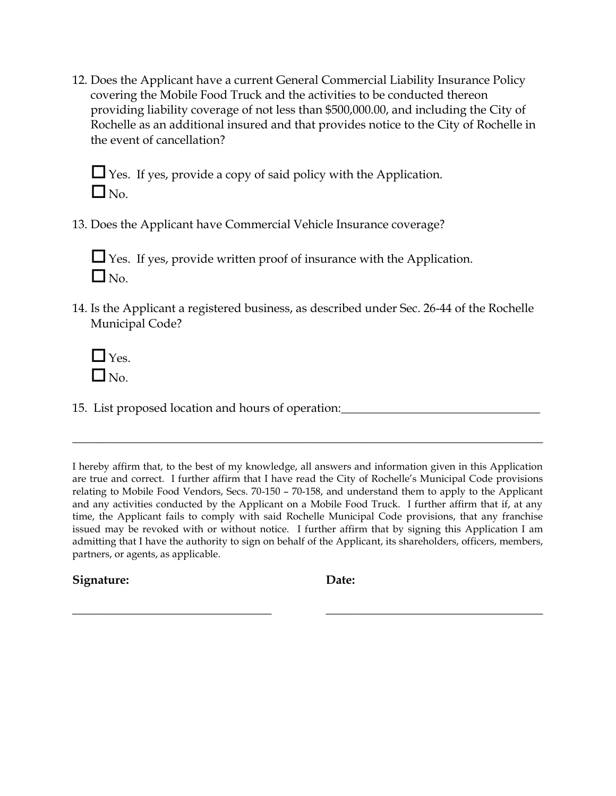12. Does the Applicant have a current General Commercial Liability Insurance Policy covering the Mobile Food Truck and the activities to be conducted thereon providing liability coverage of not less than \$500,000.00, and including the City of Rochelle as an additional insured and that provides notice to the City of Rochelle in the event of cancellation?

Yes. If yes, provide a copy of said policy with the Application.  $\square_{\text{No.}}$ 

13. Does the Applicant have Commercial Vehicle Insurance coverage?

Yes. If yes, provide written proof of insurance with the Application.  $\Box$  No.

- 14. Is the Applicant a registered business, as described under Sec. 26-44 of the Rochelle Municipal Code?
	- $\Box$  Yes.  $\Box$  No.

15. List proposed location and hours of operation:\_\_\_\_\_\_\_\_\_\_\_\_\_\_\_\_\_\_\_\_\_\_\_\_\_\_\_\_\_\_\_\_\_

I hereby affirm that, to the best of my knowledge, all answers and information given in this Application are true and correct. I further affirm that I have read the City of Rochelle's Municipal Code provisions relating to Mobile Food Vendors, Secs. 70-150 – 70-158, and understand them to apply to the Applicant and any activities conducted by the Applicant on a Mobile Food Truck. I further affirm that if, at any time, the Applicant fails to comply with said Rochelle Municipal Code provisions, that any franchise issued may be revoked with or without notice. I further affirm that by signing this Application I am admitting that I have the authority to sign on behalf of the Applicant, its shareholders, officers, members, partners, or agents, as applicable.

**\_\_\_\_\_\_\_\_\_\_\_\_\_\_\_\_\_\_\_\_\_\_\_\_\_\_\_\_\_\_\_\_\_ \_\_\_\_\_\_\_\_\_\_\_\_\_\_\_\_\_\_\_\_\_\_\_\_\_\_\_\_\_\_\_\_\_\_\_\_**

\_\_\_\_\_\_\_\_\_\_\_\_\_\_\_\_\_\_\_\_\_\_\_\_\_\_\_\_\_\_\_\_\_\_\_\_\_\_\_\_\_\_\_\_\_\_\_\_\_\_\_\_\_\_\_\_\_\_\_\_\_\_\_\_\_\_\_\_\_\_\_\_\_\_\_\_\_\_

**Signature: Date:**